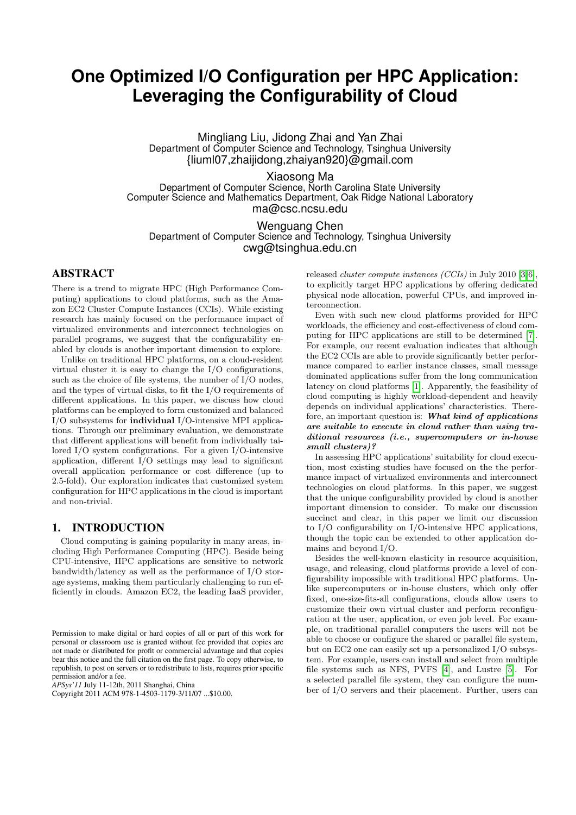# **One Optimized I/O Configuration per HPC Application: Leveraging the Configurability of Cloud**

Mingliang Liu, Jidong Zhai and Yan Zhai Department of Computer Science and Technology, Tsinghua University {liuml07,zhaijidong,zhaiyan920}@gmail.com

Xiaosong Ma

Department of Computer Science, North Carolina State University Computer Science and Mathematics Department, Oak Ridge National Laboratory ma@csc.ncsu.edu

Wenguang Chen Department of Computer Science and Technology, Tsinghua University cwg@tsinghua.edu.cn

# ABSTRACT

There is a trend to migrate HPC (High Performance Computing) applications to cloud platforms, such as the Amazon EC2 Cluster Compute Instances (CCIs). While existing research has mainly focused on the performance impact of virtualized environments and interconnect technologies on parallel programs, we suggest that the configurability enabled by clouds is another important dimension to explore.

Unlike on traditional HPC platforms, on a cloud-resident virtual cluster it is easy to change the I/O configurations, such as the choice of file systems, the number of I/O nodes, and the types of virtual disks, to fit the I/O requirements of different applications. In this paper, we discuss how cloud platforms can be employed to form customized and balanced I/O subsystems for individual I/O-intensive MPI applications. Through our preliminary evaluation, we demonstrate that different applications will benefit from individually tailored I/O system configurations. For a given I/O-intensive application, different I/O settings may lead to significant overall application performance or cost difference (up to 2.5-fold). Our exploration indicates that customized system configuration for HPC applications in the cloud is important and non-trivial.

# 1. INTRODUCTION

Cloud computing is gaining popularity in many areas, including High Performance Computing (HPC). Beside being CPU-intensive, HPC applications are sensitive to network bandwidth/latency as well as the performance of I/O storage systems, making them particularly challenging to run efficiently in clouds. Amazon EC2, the leading IaaS provider,

*APSys'11* July 11-12th, 2011 Shanghai, China

released cluster compute instances (CCIs) in July 2010 [\[3,](#page-4-0)[6\]](#page-4-1), to explicitly target HPC applications by offering dedicated physical node allocation, powerful CPUs, and improved interconnection.

Even with such new cloud platforms provided for HPC workloads, the efficiency and cost-effectiveness of cloud computing for HPC applications are still to be determined [\[7\]](#page-4-2). For example, our recent evaluation indicates that although the EC2 CCIs are able to provide significantly better performance compared to earlier instance classes, small message dominated applications suffer from the long communication latency on cloud platforms [\[1\]](#page-4-3). Apparently, the feasibility of cloud computing is highly workload-dependent and heavily depends on individual applications' characteristics. Therefore, an important question is: What kind of applications are suitable to execute in cloud rather than using traditional resources (i.e., supercomputers or in-house small clusters)?

In assessing HPC applications' suitability for cloud execution, most existing studies have focused on the the performance impact of virtualized environments and interconnect technologies on cloud platforms. In this paper, we suggest that the unique configurability provided by cloud is another important dimension to consider. To make our discussion succinct and clear, in this paper we limit our discussion to I/O configurability on I/O-intensive HPC applications, though the topic can be extended to other application domains and beyond I/O.

Besides the well-known elasticity in resource acquisition, usage, and releasing, cloud platforms provide a level of configurability impossible with traditional HPC platforms. Unlike supercomputers or in-house clusters, which only offer fixed, one-size-fits-all configurations, clouds allow users to customize their own virtual cluster and perform reconfiguration at the user, application, or even job level. For example, on traditional parallel computers the users will not be able to choose or configure the shared or parallel file system, but on EC2 one can easily set up a personalized I/O subsystem. For example, users can install and select from multiple file systems such as NFS, PVFS [\[4\]](#page-4-4), and Lustre [\[5\]](#page-4-5). For a selected parallel file system, they can configure the number of I/O servers and their placement. Further, users can

Permission to make digital or hard copies of all or part of this work for personal or classroom use is granted without fee provided that copies are not made or distributed for profit or commercial advantage and that copies bear this notice and the full citation on the first page. To copy otherwise, to republish, to post on servers or to redistribute to lists, requires prior specific permission and/or a fee.

Copyright 2011 ACM 978-1-4503-1179-3/11/07 ...\$10.00.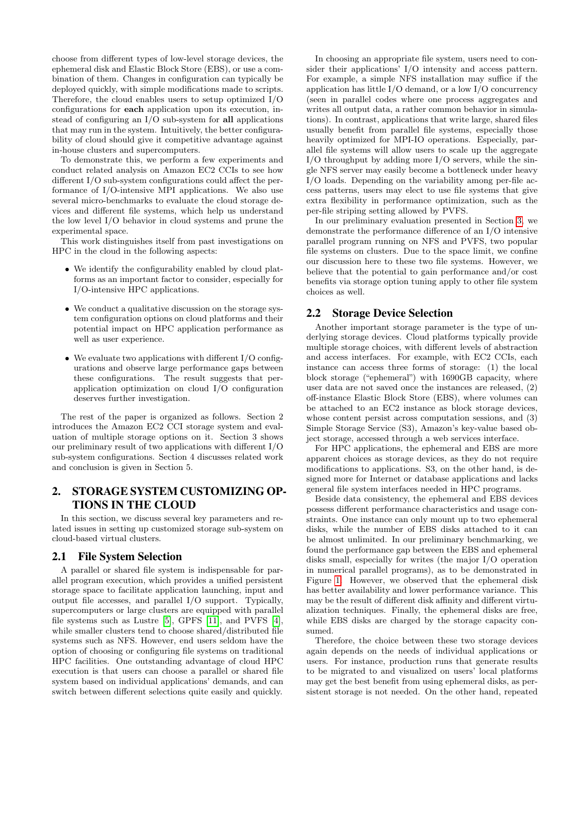choose from different types of low-level storage devices, the ephemeral disk and Elastic Block Store (EBS), or use a combination of them. Changes in configuration can typically be deployed quickly, with simple modifications made to scripts. Therefore, the cloud enables users to setup optimized I/O configurations for each application upon its execution, instead of configuring an I/O sub-system for all applications that may run in the system. Intuitively, the better configurability of cloud should give it competitive advantage against in-house clusters and supercomputers.

To demonstrate this, we perform a few experiments and conduct related analysis on Amazon EC2 CCIs to see how different I/O sub-system configurations could affect the performance of I/O-intensive MPI applications. We also use several micro-benchmarks to evaluate the cloud storage devices and different file systems, which help us understand the low level I/O behavior in cloud systems and prune the experimental space.

This work distinguishes itself from past investigations on HPC in the cloud in the following aspects:

- We identify the configurability enabled by cloud platforms as an important factor to consider, especially for I/O-intensive HPC applications.
- We conduct a qualitative discussion on the storage system configuration options on cloud platforms and their potential impact on HPC application performance as well as user experience.
- We evaluate two applications with different I/O configurations and observe large performance gaps between these configurations. The result suggests that perapplication optimization on cloud I/O configuration deserves further investigation.

The rest of the paper is organized as follows. Section 2 introduces the Amazon EC2 CCI storage system and evaluation of multiple storage options on it. Section 3 shows our preliminary result of two applications with different I/O sub-system configurations. Section 4 discusses related work and conclusion is given in Section 5.

# 2. STORAGE SYSTEM CUSTOMIZING OP-TIONS IN THE CLOUD

In this section, we discuss several key parameters and related issues in setting up customized storage sub-system on cloud-based virtual clusters.

## 2.1 File System Selection

A parallel or shared file system is indispensable for parallel program execution, which provides a unified persistent storage space to facilitate application launching, input and output file accesses, and parallel I/O support. Typically, supercomputers or large clusters are equipped with parallel file systems such as Lustre [\[5\]](#page-4-5), GPFS [\[11\]](#page-4-6), and PVFS [\[4\]](#page-4-4), while smaller clusters tend to choose shared/distributed file systems such as NFS. However, end users seldom have the option of choosing or configuring file systems on traditional HPC facilities. One outstanding advantage of cloud HPC execution is that users can choose a parallel or shared file system based on individual applications' demands, and can switch between different selections quite easily and quickly.

In choosing an appropriate file system, users need to consider their applications' I/O intensity and access pattern. For example, a simple NFS installation may suffice if the application has little I/O demand, or a low I/O concurrency (seen in parallel codes where one process aggregates and writes all output data, a rather common behavior in simulations). In contrast, applications that write large, shared files usually benefit from parallel file systems, especially those heavily optimized for MPI-IO operations. Especially, parallel file systems will allow users to scale up the aggregate I/O throughput by adding more I/O servers, while the single NFS server may easily become a bottleneck under heavy I/O loads. Depending on the variability among per-file access patterns, users may elect to use file systems that give extra flexibility in performance optimization, such as the per-file striping setting allowed by PVFS.

In our preliminary evaluation presented in Section [3,](#page-2-0) we demonstrate the performance difference of an I/O intensive parallel program running on NFS and PVFS, two popular file systems on clusters. Due to the space limit, we confine our discussion here to these two file systems. However, we believe that the potential to gain performance and/or cost benefits via storage option tuning apply to other file system choices as well.

## 2.2 Storage Device Selection

Another important storage parameter is the type of underlying storage devices. Cloud platforms typically provide multiple storage choices, with different levels of abstraction and access interfaces. For example, with EC2 CCIs, each instance can access three forms of storage: (1) the local block storage ("ephemeral") with 1690GB capacity, where user data are not saved once the instances are released, (2) off-instance Elastic Block Store (EBS), where volumes can be attached to an EC2 instance as block storage devices, whose content persist across computation sessions, and (3) Simple Storage Service (S3), Amazon's key-value based object storage, accessed through a web services interface.

For HPC applications, the ephemeral and EBS are more apparent choices as storage devices, as they do not require modifications to applications. S3, on the other hand, is designed more for Internet or database applications and lacks general file system interfaces needed in HPC programs.

Beside data consistency, the ephemeral and EBS devices possess different performance characteristics and usage constraints. One instance can only mount up to two ephemeral disks, while the number of EBS disks attached to it can be almost unlimited. In our preliminary benchmarking, we found the performance gap between the EBS and ephemeral disks small, especially for writes (the major I/O operation in numerical parallel programs), as to be demonstrated in Figure [1.](#page-2-1) However, we observed that the ephemeral disk has better availability and lower performance variance. This may be the result of different disk affinity and different virtualization techniques. Finally, the ephemeral disks are free, while EBS disks are charged by the storage capacity consumed.

Therefore, the choice between these two storage devices again depends on the needs of individual applications or users. For instance, production runs that generate results to be migrated to and visualized on users' local platforms may get the best benefit from using ephemeral disks, as persistent storage is not needed. On the other hand, repeated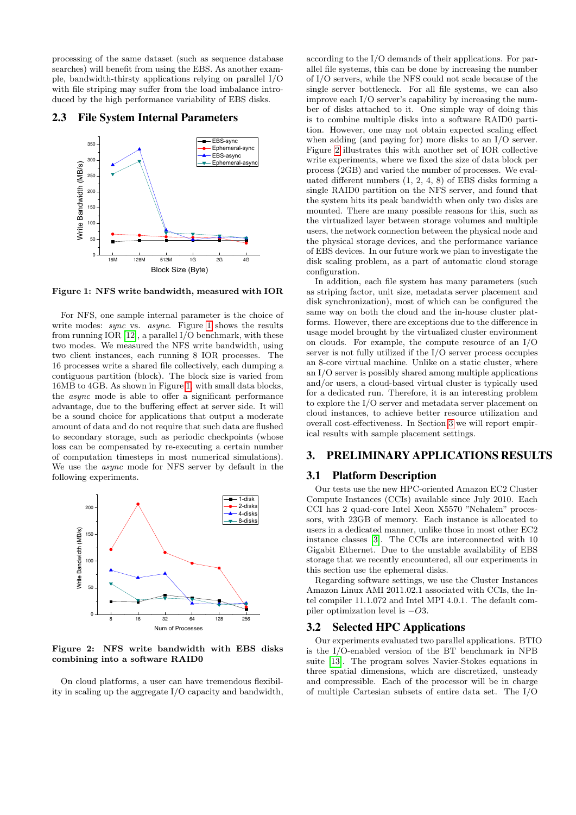processing of the same dataset (such as sequence database searches) will benefit from using the EBS. As another example, bandwidth-thirsty applications relying on parallel I/O with file striping may suffer from the load imbalance introduced by the high performance variability of EBS disks.

#### 2.3 File System Internal Parameters



<span id="page-2-1"></span>Figure 1: NFS write bandwidth, measured with IOR

For NFS, one sample internal parameter is the choice of write modes: *sync* vs. *async*. Figure [1](#page-2-1) shows the results from running IOR [\[12\]](#page-4-7), a parallel I/O benchmark, with these two modes. We measured the NFS write bandwidth, using two client instances, each running 8 IOR processes. The 16 processes write a shared file collectively, each dumping a contiguous partition (block). The block size is varied from 16MB to 4GB. As shown in Figure [1,](#page-2-1) with small data blocks, the async mode is able to offer a significant performance advantage, due to the buffering effect at server side. It will be a sound choice for applications that output a moderate amount of data and do not require that such data are flushed to secondary storage, such as periodic checkpoints (whose loss can be compensated by re-executing a certain number of computation timesteps in most numerical simulations). We use the async mode for NFS server by default in the following experiments.



<span id="page-2-2"></span>Figure 2: NFS write bandwidth with EBS disks combining into a software RAID0

On cloud platforms, a user can have tremendous flexibility in scaling up the aggregate I/O capacity and bandwidth,

according to the I/O demands of their applications. For parallel file systems, this can be done by increasing the number of I/O servers, while the NFS could not scale because of the single server bottleneck. For all file systems, we can also improve each I/O server's capability by increasing the number of disks attached to it. One simple way of doing this is to combine multiple disks into a software RAID0 partition. However, one may not obtain expected scaling effect when adding (and paying for) more disks to an I/O server. Figure [2](#page-2-2) illustrates this with another set of IOR collective write experiments, where we fixed the size of data block per process (2GB) and varied the number of processes. We evaluated different numbers (1, 2, 4, 8) of EBS disks forming a single RAID0 partition on the NFS server, and found that the system hits its peak bandwidth when only two disks are mounted. There are many possible reasons for this, such as the virtualized layer between storage volumes and multiple users, the network connection between the physical node and the physical storage devices, and the performance variance of EBS devices. In our future work we plan to investigate the disk scaling problem, as a part of automatic cloud storage configuration.

In addition, each file system has many parameters (such as striping factor, unit size, metadata server placement and disk synchronization), most of which can be configured the same way on both the cloud and the in-house cluster platforms. However, there are exceptions due to the difference in usage model brought by the virtualized cluster environment on clouds. For example, the compute resource of an I/O server is not fully utilized if the I/O server process occupies an 8-core virtual machine. Unlike on a static cluster, where an I/O server is possibly shared among multiple applications and/or users, a cloud-based virtual cluster is typically used for a dedicated run. Therefore, it is an interesting problem to explore the I/O server and metadata server placement on cloud instances, to achieve better resource utilization and overall cost-effectiveness. In Section [3](#page-2-0) we will report empirical results with sample placement settings.

# <span id="page-2-0"></span>3. PRELIMINARY APPLICATIONS RESULTS

#### 3.1 Platform Description

Our tests use the new HPC-oriented Amazon EC2 Cluster Compute Instances (CCIs) available since July 2010. Each CCI has 2 quad-core Intel Xeon X5570 "Nehalem" processors, with 23GB of memory. Each instance is allocated to users in a dedicated manner, unlike those in most other EC2 instance classes [\[3\]](#page-4-0). The CCIs are interconnected with 10 Gigabit Ethernet. Due to the unstable availability of EBS storage that we recently encountered, all our experiments in this section use the ephemeral disks.

Regarding software settings, we use the Cluster Instances Amazon Linux AMI 2011.02.1 associated with CCIs, the Intel compiler 11.1.072 and Intel MPI 4.0.1. The default compiler optimization level is −O3.

#### 3.2 Selected HPC Applications

Our experiments evaluated two parallel applications. BTIO is the I/O-enabled version of the BT benchmark in NPB suite [\[13\]](#page-4-8). The program solves Navier-Stokes equations in three spatial dimensions, which are discretized, unsteady and compressible. Each of the processor will be in charge of multiple Cartesian subsets of entire data set. The I/O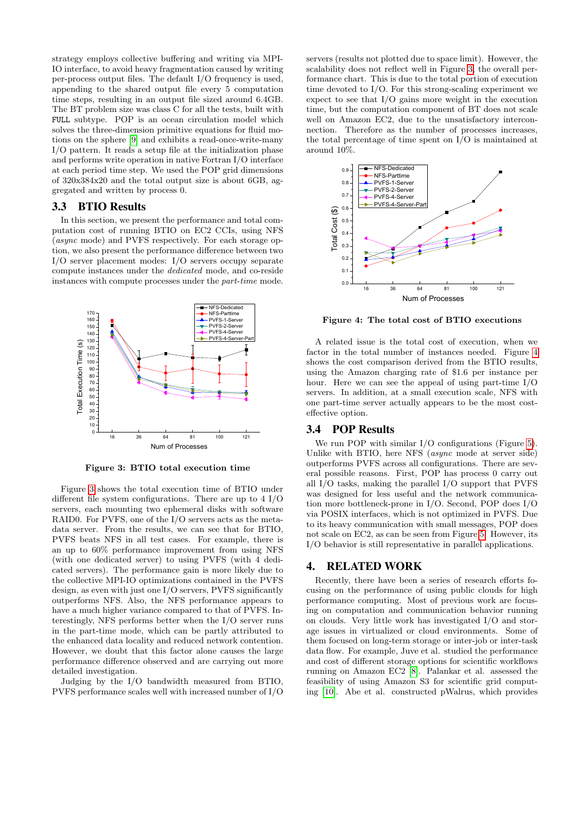strategy employs collective buffering and writing via MPI-IO interface, to avoid heavy fragmentation caused by writing per-process output files. The default I/O frequency is used, appending to the shared output file every 5 computation time steps, resulting in an output file sized around 6.4GB. The BT problem size was class C for all the tests, built with FULL subtype. POP is an ocean circulation model which solves the three-dimension primitive equations for fluid motions on the sphere [\[9\]](#page-4-9) and exhibits a read-once-write-many I/O pattern. It reads a setup file at the initialization phase and performs write operation in native Fortran I/O interface at each period time step. We used the POP grid dimensions of 320x384x20 and the total output size is about 6GB, aggregated and written by process 0.

#### 3.3 BTIO Results

In this section, we present the performance and total computation cost of running BTIO on EC2 CCIs, using NFS (async mode) and PVFS respectively. For each storage option, we also present the performance difference between two I/O server placement modes: I/O servers occupy separate compute instances under the dedicated mode, and co-reside instances with compute processes under the part-time mode.



<span id="page-3-0"></span>Figure 3: BTIO total execution time

Figure [3](#page-3-0) shows the total execution time of BTIO under different file system configurations. There are up to 4 I/O servers, each mounting two ephemeral disks with software RAID0. For PVFS, one of the I/O servers acts as the metadata server. From the results, we can see that for BTIO, PVFS beats NFS in all test cases. For example, there is an up to 60% performance improvement from using NFS (with one dedicated server) to using PVFS (with 4 dedicated servers). The performance gain is more likely due to the collective MPI-IO optimizations contained in the PVFS design, as even with just one I/O servers, PVFS significantly outperforms NFS. Also, the NFS performance appears to have a much higher variance compared to that of PVFS. Interestingly, NFS performs better when the I/O server runs in the part-time mode, which can be partly attributed to the enhanced data locality and reduced network contention. However, we doubt that this factor alone causes the large performance difference observed and are carrying out more detailed investigation.

Judging by the I/O bandwidth measured from BTIO, PVFS performance scales well with increased number of I/O servers (results not plotted due to space limit). However, the scalability does not reflect well in Figure [3,](#page-3-0) the overall performance chart. This is due to the total portion of execution time devoted to I/O. For this strong-scaling experiment we expect to see that I/O gains more weight in the execution time, but the computation component of BT does not scale well on Amazon EC2, due to the unsatisfactory interconnection. Therefore as the number of processes increases, the total percentage of time spent on I/O is maintained at around 10%.



<span id="page-3-1"></span>Figure 4: The total cost of BTIO executions

A related issue is the total cost of execution, when we factor in the total number of instances needed. Figure [4](#page-3-1) shows the cost comparison derived from the BTIO results, using the Amazon charging rate of \$1.6 per instance per hour. Here we can see the appeal of using part-time I/O servers. In addition, at a small execution scale, NFS with one part-time server actually appears to be the most costeffective option.

## 3.4 POP Results

We run POP with similar I/O configurations (Figure [5\)](#page-4-10). Unlike with BTIO, here NFS (async mode at server side) outperforms PVFS across all configurations. There are several possible reasons. First, POP has process 0 carry out all I/O tasks, making the parallel I/O support that PVFS was designed for less useful and the network communication more bottleneck-prone in I/O. Second, POP does I/O via POSIX interfaces, which is not optimized in PVFS. Due to its heavy communication with small messages, POP does not scale on EC2, as can be seen from Figure [5.](#page-4-10) However, its I/O behavior is still representative in parallel applications.

#### 4. RELATED WORK

Recently, there have been a series of research efforts focusing on the performance of using public clouds for high performance computing. Most of previous work are focusing on computation and communication behavior running on clouds. Very little work has investigated I/O and storage issues in virtualized or cloud environments. Some of them focused on long-term storage or inter-job or inter-task data flow. For example, Juve et al. studied the performance and cost of different storage options for scientific workflows running on Amazon EC2 [\[8\]](#page-4-11). Palankar et al. assessed the feasibility of using Amazon S3 for scientific grid computing [\[10\]](#page-4-12). Abe et al. constructed pWalrus, which provides